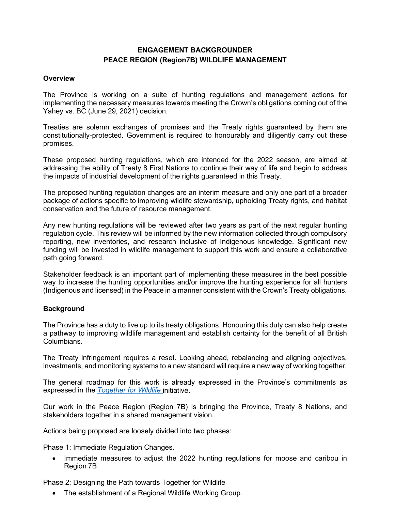# **ENGAGEMENT BACKGROUNDER PEACE REGION (Region7B) WILDLIFE MANAGEMENT**

#### **Overview**

The Province is working on a suite of hunting regulations and management actions for implementing the necessary measures towards meeting the Crown's obligations coming out of the Yahey vs. BC (June 29, 2021) decision.

Treaties are solemn exchanges of promises and the Treaty rights guaranteed by them are constitutionally-protected. Government is required to honourably and diligently carry out these promises.

These proposed hunting regulations, which are intended for the 2022 season, are aimed at addressing the ability of Treaty 8 First Nations to continue their way of life and begin to address the impacts of industrial development of the rights guaranteed in this Treaty.

The proposed hunting regulation changes are an interim measure and only one part of a broader package of actions specific to improving wildlife stewardship, upholding Treaty rights, and habitat conservation and the future of resource management.

Any new hunting regulations will be reviewed after two years as part of the next regular hunting regulation cycle. This review will be informed by the new information collected through compulsory reporting, new inventories, and research inclusive of Indigenous knowledge. Significant new funding will be invested in wildlife management to support this work and ensure a collaborative path going forward.

Stakeholder feedback is an important part of implementing these measures in the best possible way to increase the hunting opportunities and/or improve the hunting experience for all hunters (Indigenous and licensed) in the Peace in a manner consistent with the Crown's Treaty obligations.

### **Background**

The Province has a duty to live up to its treaty obligations. Honouring this duty can also help create a pathway to improving wildlife management and establish certainty for the benefit of all British Columbians.

The Treaty infringement requires a reset. Looking ahead, rebalancing and aligning objectives, investments, and monitoring systems to a new standard will require a new way of working together.

The general roadmap for this work is already expressed in the Province's commitments as expressed in the *[Together for Wildlife](https://www2.gov.bc.ca/gov/content/environment/plants-animals-ecosystems/wildlife/together-for-wildlife)* initiative.

Our work in the Peace Region (Region 7B) is bringing the Province, Treaty 8 Nations, and stakeholders together in a shared management vision.

Actions being proposed are loosely divided into two phases:

Phase 1: Immediate Regulation Changes.

• Immediate measures to adjust the 2022 hunting regulations for moose and caribou in Region 7B

Phase 2: Designing the Path towards Together for Wildlife

• The establishment of a Regional Wildlife Working Group.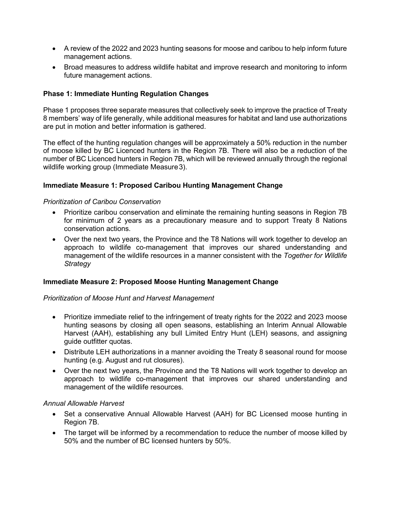- A review of the 2022 and 2023 hunting seasons for moose and caribou to help inform future management actions.
- Broad measures to address wildlife habitat and improve research and monitoring to inform future management actions.

### **Phase 1: Immediate Hunting Regulation Changes**

Phase 1 proposes three separate measures that collectively seek to improve the practice of Treaty 8 members' way of life generally, while additional measures for habitat and land use authorizations are put in motion and better information is gathered.

The effect of the hunting regulation changes will be approximately a 50% reduction in the number of moose killed by BC Licenced hunters in the Region 7B. There will also be a reduction of the number of BC Licenced hunters in Region 7B, which will be reviewed annually through the regional wildlife working group (Immediate Measure3).

### **Immediate Measure 1: Proposed Caribou Hunting Management Change**

#### *Prioritization of Caribou Conservation*

- Prioritize caribou conservation and eliminate the remaining hunting seasons in Region 7B for minimum of 2 years as a precautionary measure and to support Treaty 8 Nations conservation actions.
- Over the next two years, the Province and the T8 Nations will work together to develop an approach to wildlife co-management that improves our shared understanding and management of the wildlife resources in a manner consistent with the *Together for Wildlife Strategy*

### **Immediate Measure 2: Proposed Moose Hunting Management Change**

#### *Prioritization of Moose Hunt and Harvest Management*

- Prioritize immediate relief to the infringement of treaty rights for the 2022 and 2023 moose hunting seasons by closing all open seasons, establishing an Interim Annual Allowable Harvest (AAH), establishing any bull Limited Entry Hunt (LEH) seasons, and assigning guide outfitter quotas.
- Distribute LEH authorizations in a manner avoiding the Treaty 8 seasonal round for moose hunting (e.g. August and rut closures).
- Over the next two years, the Province and the T8 Nations will work together to develop an approach to wildlife co-management that improves our shared understanding and management of the wildlife resources.

#### *Annual Allowable Harvest*

- Set a conservative Annual Allowable Harvest (AAH) for BC Licensed moose hunting in Region 7B.
- The target will be informed by a recommendation to reduce the number of moose killed by 50% and the number of BC licensed hunters by 50%.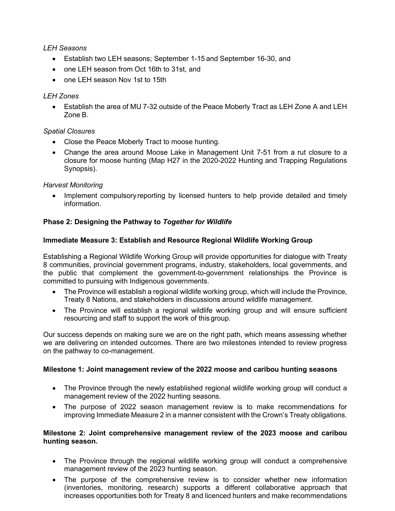# *LEH Seasons*

- Establish two LEH seasons; September 1-15 and September 16-30, and
- one LEH season from Oct 16th to 31st, and
- one LEH season Nov 1st to 15th

# *LEH Zones*

• Establish the area of MU 7-32 outside of the Peace Moberly Tract as LEH Zone A and LEH Zone B.

# *Spatial Closures*

- Close the Peace Moberly Tract to moose hunting.
- Change the area around Moose Lake in Management Unit 7-51 from a rut closure to a closure for moose hunting (Map H27 in the 2020-2022 Hunting and Trapping Regulations Synopsis).

# *Harvest Monitoring*

Implement compulsory reporting by licensed hunters to help provide detailed and timely information.

# **Phase 2: Designing the Pathway to** *Together for Wildlife*

# **Immediate Measure 3: Establish and Resource Regional Wildlife Working Group**

Establishing a Regional Wildlife Working Group will provide opportunities for dialogue with Treaty 8 communities, provincial government programs, industry, stakeholders, local governments, and the public that complement the government-to-government relationships the Province is committed to pursuing with Indigenous governments.

- The Province will establish a regional wildlife working group, which will include the Province, Treaty 8 Nations, and stakeholders in discussions around wildlife management.
- The Province will establish a regional wildlife working group and will ensure sufficient resourcing and staff to support the work of this group.

Our success depends on making sure we are on the right path, which means assessing whether we are delivering on intended outcomes. There are two milestones intended to review progress on the pathway to co-management.

### **Milestone 1: Joint management review of the 2022 moose and caribou hunting seasons**

- The Province through the newly established regional wildlife working group will conduct a management review of the 2022 hunting seasons.
- The purpose of 2022 season management review is to make recommendations for improving Immediate Measure 2 in a manner consistent with the Crown's Treaty obligations.

### **Milestone 2: Joint comprehensive management review of the 2023 moose and caribou hunting season.**

- The Province through the regional wildlife working group will conduct a comprehensive management review of the 2023 hunting season.
- The purpose of the comprehensive review is to consider whether new information (inventories, monitoring, research) supports a different collaborative approach that increases opportunities both for Treaty 8 and licenced hunters and make recommendations